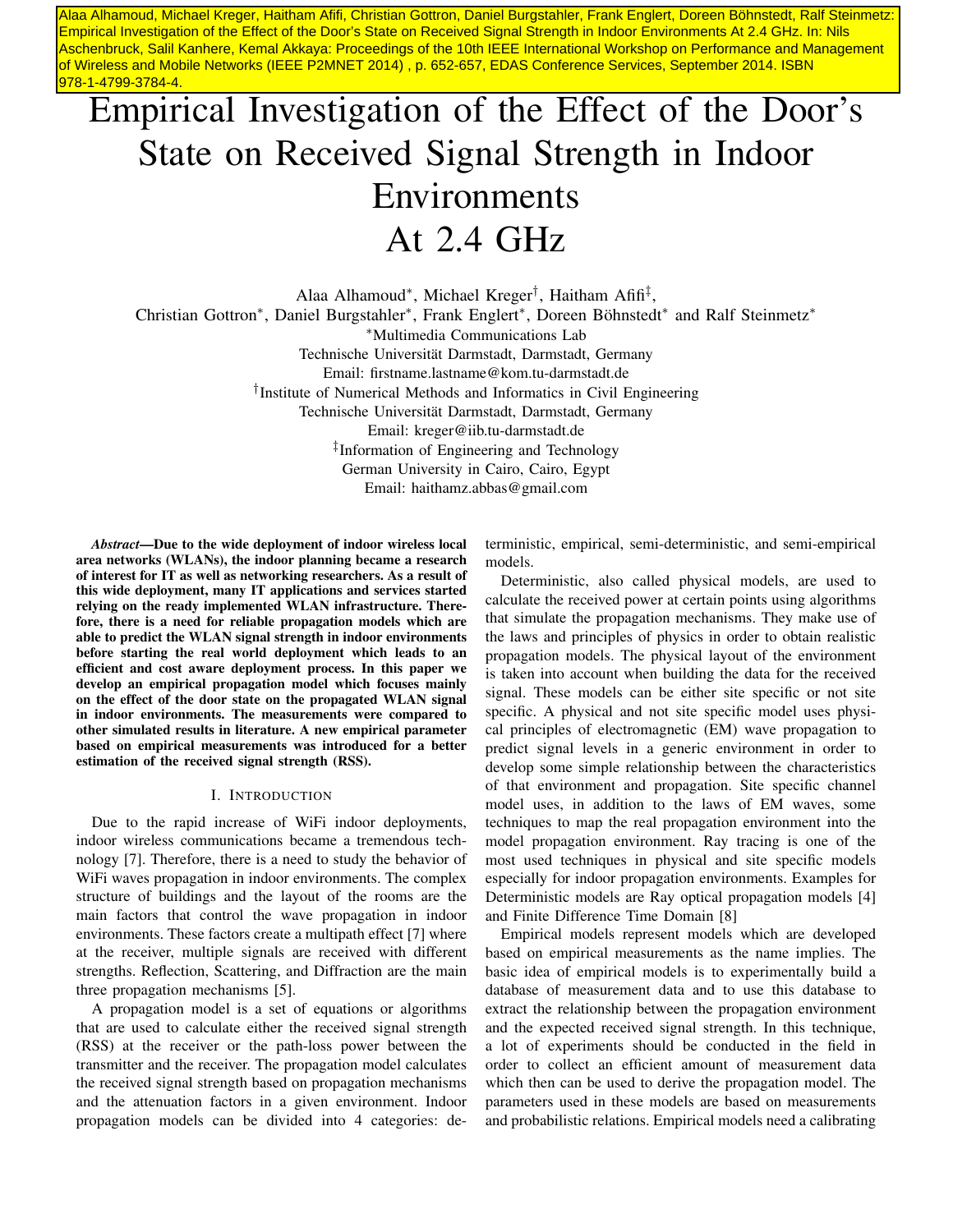Alaa Alhamoud, Michael Kreger, Haitham Afifi, Christian Gottron, Daniel Burgstahler, Frank Englert, Doreen Böhnstedt, Ralf Steinmetz: Empirical Investigation of the Effect of the Door's State on Received Signal Strength in Indoor Environments At 2.4 GHz. In: Nils Aschenbruck, Salil Kanhere, Kemal Akkaya: Proceedings of the 10th IEEE International Workshop on Performance and Management of Wireless and Mobile Networks (IEEE P2MNET 2014) , p. 652-657, EDAS Conference Services, September 2014. ISBN 978-1-4799-3784-4.

# Empirical Investigation of the Effect of the Door's State on Received Signal Strength in Indoor Environments At 2.4 GHz

Alaa Alhamoud\*, Michael Kreger<sup>†</sup>, Haitham Afifi<sup>‡</sup>, Christian Gottron\*, Daniel Burgstahler\*, Frank Englert\*, Doreen Böhnstedt\* and Ralf Steinmetz\* <sup>∗</sup>Multimedia Communications Lab Technische Universität Darmstadt, Darmstadt, Germany Email: firstname.lastname@kom.tu-darmstadt.de † Institute of Numerical Methods and Informatics in Civil Engineering Technische Universität Darmstadt, Darmstadt, Germany Email: kreger@iib.tu-darmstadt.de ‡ Information of Engineering and Technology German University in Cairo, Cairo, Egypt Email: haithamz.abbas@gmail.com

*Abstract*—Due to the wide deployment of indoor wireless local area networks (WLANs), the indoor planning became a research of interest for IT as well as networking researchers. As a result of this wide deployment, many IT applications and services started relying on the ready implemented WLAN infrastructure. Therefore, there is a need for reliable propagation models which are able to predict the WLAN signal strength in indoor environments before starting the real world deployment which leads to an efficient and cost aware deployment process. In this paper we develop an empirical propagation model which focuses mainly on the effect of the door state on the propagated WLAN signal in indoor environments. The measurements were compared to other simulated results in literature. A new empirical parameter based on empirical measurements was introduced for a better estimation of the received signal strength (RSS).

#### I. INTRODUCTION

Due to the rapid increase of WiFi indoor deployments, indoor wireless communications became a tremendous technology [7]. Therefore, there is a need to study the behavior of WiFi waves propagation in indoor environments. The complex structure of buildings and the layout of the rooms are the main factors that control the wave propagation in indoor environments. These factors create a multipath effect [7] where at the receiver, multiple signals are received with different strengths. Reflection, Scattering, and Diffraction are the main three propagation mechanisms [5].

A propagation model is a set of equations or algorithms that are used to calculate either the received signal strength (RSS) at the receiver or the path-loss power between the transmitter and the receiver. The propagation model calculates the received signal strength based on propagation mechanisms and the attenuation factors in a given environment. Indoor propagation models can be divided into 4 categories: deterministic, empirical, semi-deterministic, and semi-empirical models.

Deterministic, also called physical models, are used to calculate the received power at certain points using algorithms that simulate the propagation mechanisms. They make use of the laws and principles of physics in order to obtain realistic propagation models. The physical layout of the environment is taken into account when building the data for the received signal. These models can be either site specific or not site specific. A physical and not site specific model uses physical principles of electromagnetic (EM) wave propagation to predict signal levels in a generic environment in order to develop some simple relationship between the characteristics of that environment and propagation. Site specific channel model uses, in addition to the laws of EM waves, some techniques to map the real propagation environment into the model propagation environment. Ray tracing is one of the most used techniques in physical and site specific models especially for indoor propagation environments. Examples for Deterministic models are Ray optical propagation models [4] and Finite Difference Time Domain [8]

Empirical models represent models which are developed based on empirical measurements as the name implies. The basic idea of empirical models is to experimentally build a database of measurement data and to use this database to extract the relationship between the propagation environment and the expected received signal strength. In this technique, a lot of experiments should be conducted in the field in order to collect an efficient amount of measurement data which then can be used to derive the propagation model. The parameters used in these models are based on measurements and probabilistic relations. Empirical models need a calibrating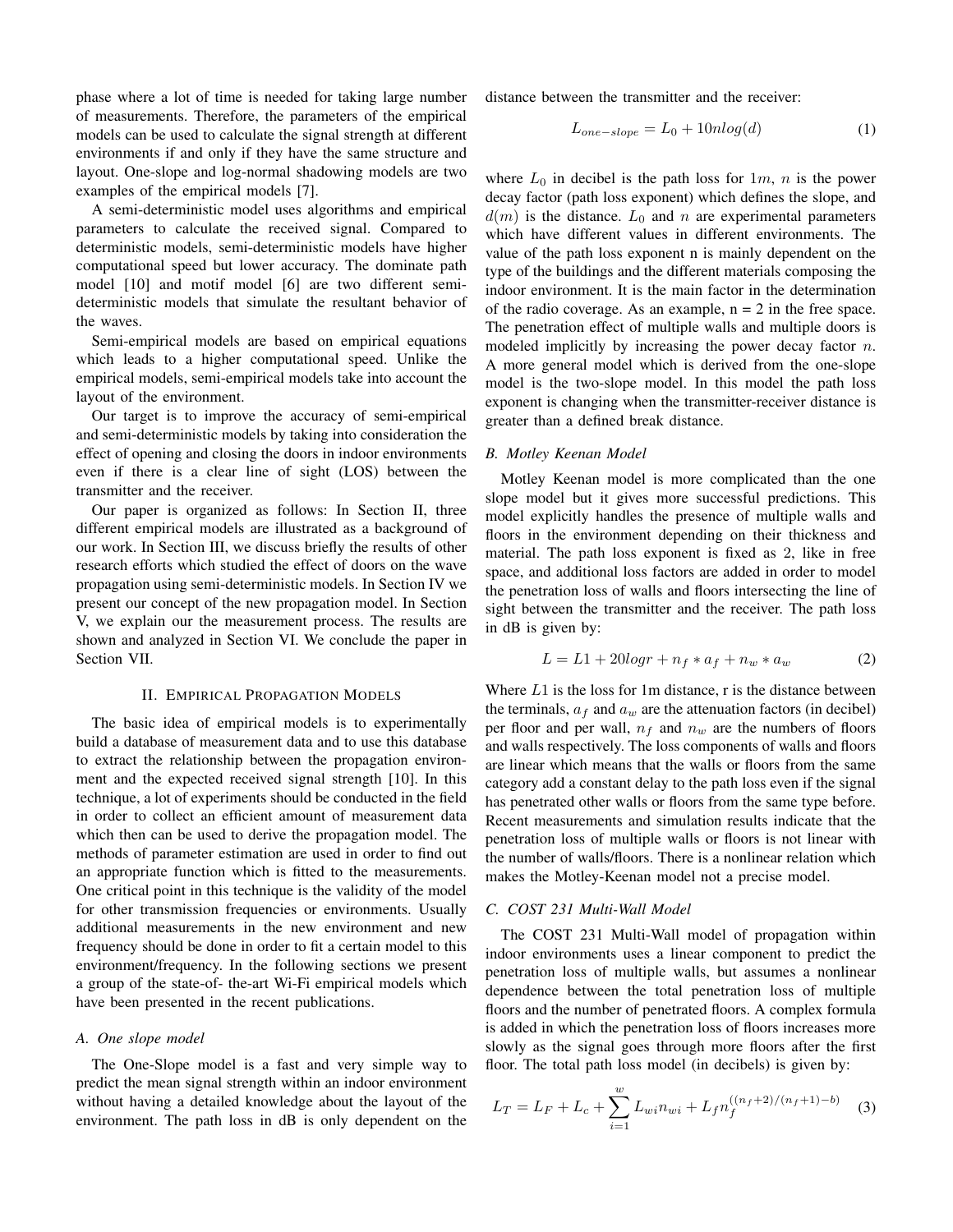phase where a lot of time is needed for taking large number of measurements. Therefore, the parameters of the empirical models can be used to calculate the signal strength at different environments if and only if they have the same structure and layout. One-slope and log-normal shadowing models are two examples of the empirical models [7].

A semi-deterministic model uses algorithms and empirical parameters to calculate the received signal. Compared to deterministic models, semi-deterministic models have higher computational speed but lower accuracy. The dominate path model [10] and motif model [6] are two different semideterministic models that simulate the resultant behavior of the waves.

Semi-empirical models are based on empirical equations which leads to a higher computational speed. Unlike the empirical models, semi-empirical models take into account the layout of the environment.

Our target is to improve the accuracy of semi-empirical and semi-deterministic models by taking into consideration the effect of opening and closing the doors in indoor environments even if there is a clear line of sight (LOS) between the transmitter and the receiver.

Our paper is organized as follows: In Section II, three different empirical models are illustrated as a background of our work. In Section III, we discuss briefly the results of other research efforts which studied the effect of doors on the wave propagation using semi-deterministic models. In Section IV we present our concept of the new propagation model. In Section V, we explain our the measurement process. The results are shown and analyzed in Section VI. We conclude the paper in Section VII.

## II. EMPIRICAL PROPAGATION MODELS

The basic idea of empirical models is to experimentally build a database of measurement data and to use this database to extract the relationship between the propagation environment and the expected received signal strength [10]. In this technique, a lot of experiments should be conducted in the field in order to collect an efficient amount of measurement data which then can be used to derive the propagation model. The methods of parameter estimation are used in order to find out an appropriate function which is fitted to the measurements. One critical point in this technique is the validity of the model for other transmission frequencies or environments. Usually additional measurements in the new environment and new frequency should be done in order to fit a certain model to this environment/frequency. In the following sections we present a group of the state-of- the-art Wi-Fi empirical models which have been presented in the recent publications.

#### *A. One slope model*

The One-Slope model is a fast and very simple way to predict the mean signal strength within an indoor environment without having a detailed knowledge about the layout of the environment. The path loss in dB is only dependent on the distance between the transmitter and the receiver:

$$
L_{one-slope} = L_0 + 10nlog(d)
$$
 (1)

where  $L_0$  in decibel is the path loss for  $1m$ , n is the power decay factor (path loss exponent) which defines the slope, and  $d(m)$  is the distance.  $L_0$  and n are experimental parameters which have different values in different environments. The value of the path loss exponent n is mainly dependent on the type of the buildings and the different materials composing the indoor environment. It is the main factor in the determination of the radio coverage. As an example,  $n = 2$  in the free space. The penetration effect of multiple walls and multiple doors is modeled implicitly by increasing the power decay factor  $n$ . A more general model which is derived from the one-slope model is the two-slope model. In this model the path loss exponent is changing when the transmitter-receiver distance is greater than a defined break distance.

## *B. Motley Keenan Model*

Motley Keenan model is more complicated than the one slope model but it gives more successful predictions. This model explicitly handles the presence of multiple walls and floors in the environment depending on their thickness and material. The path loss exponent is fixed as 2, like in free space, and additional loss factors are added in order to model the penetration loss of walls and floors intersecting the line of sight between the transmitter and the receiver. The path loss in dB is given by:

$$
L = L1 + 20\log r + n_f * a_f + n_w * a_w \tag{2}
$$

Where  $L1$  is the loss for 1m distance, r is the distance between the terminals,  $a_f$  and  $a_w$  are the attenuation factors (in decibel) per floor and per wall,  $n_f$  and  $n_w$  are the numbers of floors and walls respectively. The loss components of walls and floors are linear which means that the walls or floors from the same category add a constant delay to the path loss even if the signal has penetrated other walls or floors from the same type before. Recent measurements and simulation results indicate that the penetration loss of multiple walls or floors is not linear with the number of walls/floors. There is a nonlinear relation which makes the Motley-Keenan model not a precise model.

## *C. COST 231 Multi-Wall Model*

The COST 231 Multi-Wall model of propagation within indoor environments uses a linear component to predict the penetration loss of multiple walls, but assumes a nonlinear dependence between the total penetration loss of multiple floors and the number of penetrated floors. A complex formula is added in which the penetration loss of floors increases more slowly as the signal goes through more floors after the first floor. The total path loss model (in decibels) is given by:

$$
L_T = L_F + L_c + \sum_{i=1}^{w} L_{wi} n_{wi} + L_f n_f^{((n_f+2)/(n_f+1)-b)} \tag{3}
$$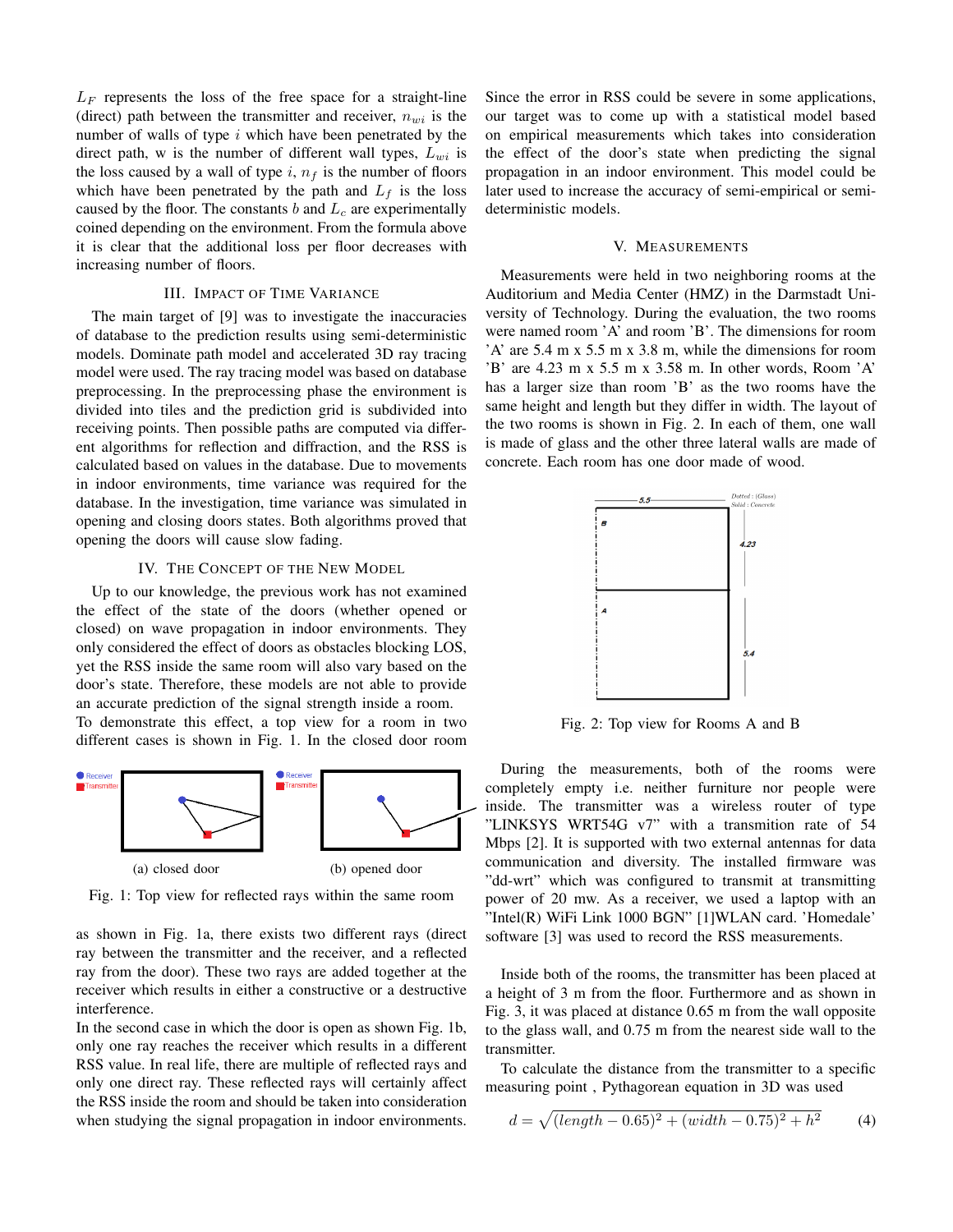$L_F$  represents the loss of the free space for a straight-line (direct) path between the transmitter and receiver,  $n_{wi}$  is the number of walls of type  $i$  which have been penetrated by the direct path, w is the number of different wall types,  $L_{wi}$  is the loss caused by a wall of type  $i, n_f$  is the number of floors which have been penetrated by the path and  $L_f$  is the loss caused by the floor. The constants  $b$  and  $L_c$  are experimentally coined depending on the environment. From the formula above it is clear that the additional loss per floor decreases with increasing number of floors.

# III. IMPACT OF TIME VARIANCE

The main target of [9] was to investigate the inaccuracies of database to the prediction results using semi-deterministic models. Dominate path model and accelerated 3D ray tracing model were used. The ray tracing model was based on database preprocessing. In the preprocessing phase the environment is divided into tiles and the prediction grid is subdivided into receiving points. Then possible paths are computed via different algorithms for reflection and diffraction, and the RSS is calculated based on values in the database. Due to movements in indoor environments, time variance was required for the database. In the investigation, time variance was simulated in opening and closing doors states. Both algorithms proved that opening the doors will cause slow fading.

# IV. THE CONCEPT OF THE NEW MODEL

Up to our knowledge, the previous work has not examined the effect of the state of the doors (whether opened or closed) on wave propagation in indoor environments. They only considered the effect of doors as obstacles blocking LOS, yet the RSS inside the same room will also vary based on the door's state. Therefore, these models are not able to provide an accurate prediction of the signal strength inside a room.

To demonstrate this effect, a top view for a room in two different cases is shown in Fig. 1. In the closed door room



Fig. 1: Top view for reflected rays within the same room

as shown in Fig. 1a, there exists two different rays (direct ray between the transmitter and the receiver, and a reflected ray from the door). These two rays are added together at the receiver which results in either a constructive or a destructive interference.

In the second case in which the door is open as shown Fig. 1b, only one ray reaches the receiver which results in a different RSS value. In real life, there are multiple of reflected rays and only one direct ray. These reflected rays will certainly affect the RSS inside the room and should be taken into consideration when studying the signal propagation in indoor environments. Since the error in RSS could be severe in some applications, our target was to come up with a statistical model based on empirical measurements which takes into consideration the effect of the door's state when predicting the signal propagation in an indoor environment. This model could be later used to increase the accuracy of semi-empirical or semideterministic models.

## V. MEASUREMENTS

Measurements were held in two neighboring rooms at the Auditorium and Media Center (HMZ) in the Darmstadt University of Technology. During the evaluation, the two rooms were named room 'A' and room 'B'. The dimensions for room 'A' are 5.4 m x 5.5 m x 3.8 m, while the dimensions for room 'B' are 4.23 m x 5.5 m x 3.58 m. In other words, Room 'A' has a larger size than room 'B' as the two rooms have the same height and length but they differ in width. The layout of the two rooms is shown in Fig. 2. In each of them, one wall is made of glass and the other three lateral walls are made of concrete. Each room has one door made of wood.



Fig. 2: Top view for Rooms A and B

During the measurements, both of the rooms were completely empty i.e. neither furniture nor people were inside. The transmitter was a wireless router of type "LINKSYS WRT54G v7" with a transmition rate of 54 Mbps [2]. It is supported with two external antennas for data communication and diversity. The installed firmware was "dd-wrt" which was configured to transmit at transmitting power of 20 mw. As a receiver, we used a laptop with an "Intel(R) WiFi Link 1000 BGN" [1]WLAN card. 'Homedale' software [3] was used to record the RSS measurements.

Inside both of the rooms, the transmitter has been placed at a height of 3 m from the floor. Furthermore and as shown in Fig. 3, it was placed at distance 0.65 m from the wall opposite to the glass wall, and 0.75 m from the nearest side wall to the transmitter.

To calculate the distance from the transmitter to a specific measuring point , Pythagorean equation in 3D was used

$$
d = \sqrt{(\text{length} - 0.65)^2 + (\text{width} - 0.75)^2 + h^2} \tag{4}
$$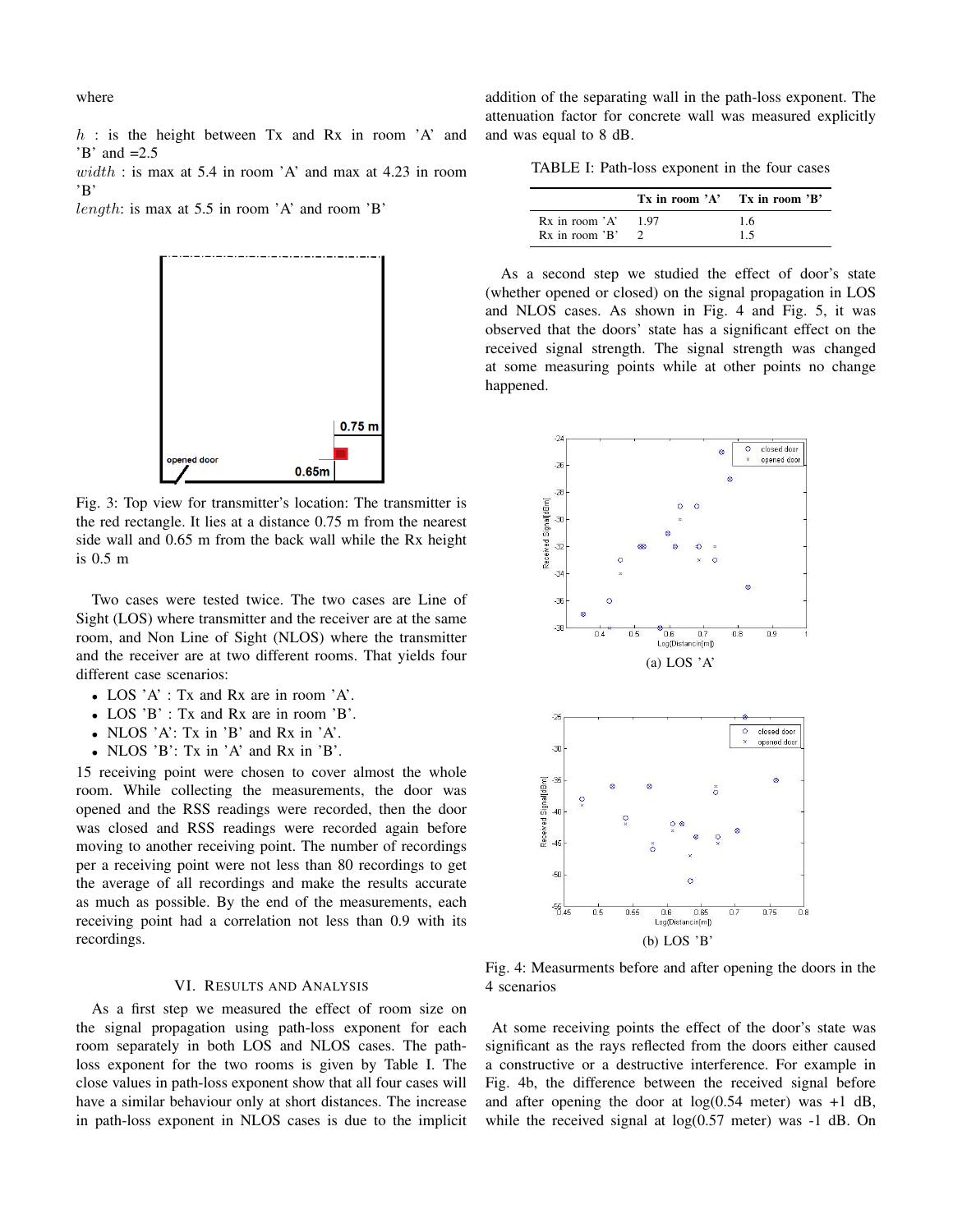where

 $h$  : is the height between Tx and Rx in room  $'A'$  and  $'B'$  and  $=2.5$ 

 $width:$  is max at 5.4 in room 'A' and max at 4.23 in room 'B'

length: is max at 5.5 in room 'A' and room 'B'



Fig. 3: Top view for transmitter's location: The transmitter is the red rectangle. It lies at a distance 0.75 m from the nearest side wall and 0.65 m from the back wall while the Rx height is 0.5 m

Two cases were tested twice. The two cases are Line of Sight (LOS) where transmitter and the receiver are at the same room, and Non Line of Sight (NLOS) where the transmitter and the receiver are at two different rooms. That yields four different case scenarios:

- LOS 'A' : Tx and Rx are in room 'A'.
- LOS 'B' : Tx and Rx are in room 'B'.
- NLOS 'A': Tx in 'B' and Rx in 'A'.
- NLOS 'B': Tx in 'A' and Rx in 'B'.

15 receiving point were chosen to cover almost the whole room. While collecting the measurements, the door was opened and the RSS readings were recorded, then the door was closed and RSS readings were recorded again before moving to another receiving point. The number of recordings per a receiving point were not less than 80 recordings to get the average of all recordings and make the results accurate as much as possible. By the end of the measurements, each receiving point had a correlation not less than 0.9 with its recordings.

# VI. RESULTS AND ANALYSIS

As a first step we measured the effect of room size on the signal propagation using path-loss exponent for each room separately in both LOS and NLOS cases. The pathloss exponent for the two rooms is given by Table I. The close values in path-loss exponent show that all four cases will have a similar behaviour only at short distances. The increase in path-loss exponent in NLOS cases is due to the implicit addition of the separating wall in the path-loss exponent. The attenuation factor for concrete wall was measured explicitly and was equal to 8 dB.

TABLE I: Path-loss exponent in the four cases

|                         | $Tx$ in room 'A' $Tx$ in room 'B' |
|-------------------------|-----------------------------------|
| $Rx$ in room $'A'$ 1.97 | 1.6                               |
| $Rx$ in room $'B'$      | 15                                |

As a second step we studied the effect of door's state (whether opened or closed) on the signal propagation in LOS and NLOS cases. As shown in Fig. 4 and Fig. 5, it was observed that the doors' state has a significant effect on the received signal strength. The signal strength was changed at some measuring points while at other points no change happened.



Fig. 4: Measurments before and after opening the doors in the 4 scenarios

At some receiving points the effect of the door's state was significant as the rays reflected from the doors either caused a constructive or a destructive interference. For example in Fig. 4b, the difference between the received signal before and after opening the door at  $log(0.54$  meter) was  $+1$  dB, while the received signal at  $log(0.57$  meter) was  $-1$  dB. On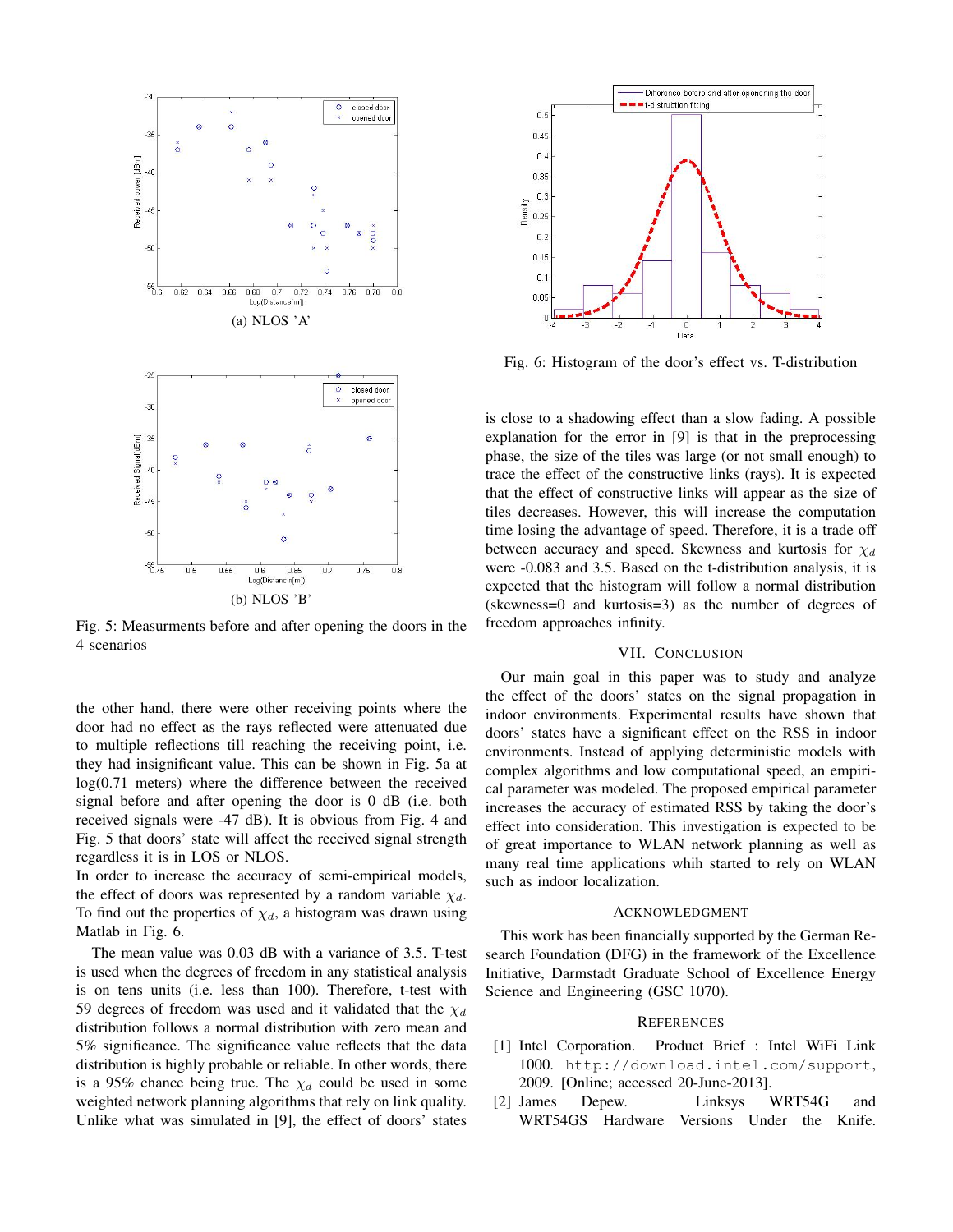

Fig. 5: Measurments before and after opening the doors in the 4 scenarios

the other hand, there were other receiving points where the door had no effect as the rays reflected were attenuated due to multiple reflections till reaching the receiving point, i.e. they had insignificant value. This can be shown in Fig. 5a at log(0.71 meters) where the difference between the received signal before and after opening the door is 0 dB (i.e. both received signals were -47 dB). It is obvious from Fig. 4 and Fig. 5 that doors' state will affect the received signal strength regardless it is in LOS or NLOS.

In order to increase the accuracy of semi-empirical models, the effect of doors was represented by a random variable  $\chi_d$ . To find out the properties of  $\chi_d$ , a histogram was drawn using Matlab in Fig. 6.

The mean value was 0.03 dB with a variance of 3.5. T-test is used when the degrees of freedom in any statistical analysis is on tens units (i.e. less than 100). Therefore, t-test with 59 degrees of freedom was used and it validated that the  $\chi_d$ distribution follows a normal distribution with zero mean and 5% significance. The significance value reflects that the data distribution is highly probable or reliable. In other words, there is a 95% chance being true. The  $\chi_d$  could be used in some weighted network planning algorithms that rely on link quality. Unlike what was simulated in [9], the effect of doors' states



Fig. 6: Histogram of the door's effect vs. T-distribution

is close to a shadowing effect than a slow fading. A possible explanation for the error in [9] is that in the preprocessing phase, the size of the tiles was large (or not small enough) to trace the effect of the constructive links (rays). It is expected that the effect of constructive links will appear as the size of tiles decreases. However, this will increase the computation time losing the advantage of speed. Therefore, it is a trade off between accuracy and speed. Skewness and kurtosis for  $\chi_d$ were -0.083 and 3.5. Based on the t-distribution analysis, it is expected that the histogram will follow a normal distribution (skewness=0 and kurtosis=3) as the number of degrees of freedom approaches infinity.

## VII. CONCLUSION

Our main goal in this paper was to study and analyze the effect of the doors' states on the signal propagation in indoor environments. Experimental results have shown that doors' states have a significant effect on the RSS in indoor environments. Instead of applying deterministic models with complex algorithms and low computational speed, an empirical parameter was modeled. The proposed empirical parameter increases the accuracy of estimated RSS by taking the door's effect into consideration. This investigation is expected to be of great importance to WLAN network planning as well as many real time applications whih started to rely on WLAN such as indoor localization.

#### ACKNOWLEDGMENT

This work has been financially supported by the German Research Foundation (DFG) in the framework of the Excellence Initiative, Darmstadt Graduate School of Excellence Energy Science and Engineering (GSC 1070).

#### **REFERENCES**

- [1] Intel Corporation. Product Brief : Intel WiFi Link 1000. http://download.intel.com/support, 2009. [Online; accessed 20-June-2013].
- [2] James Depew. Linksys WRT54G and WRT54GS Hardware Versions Under the Knife.